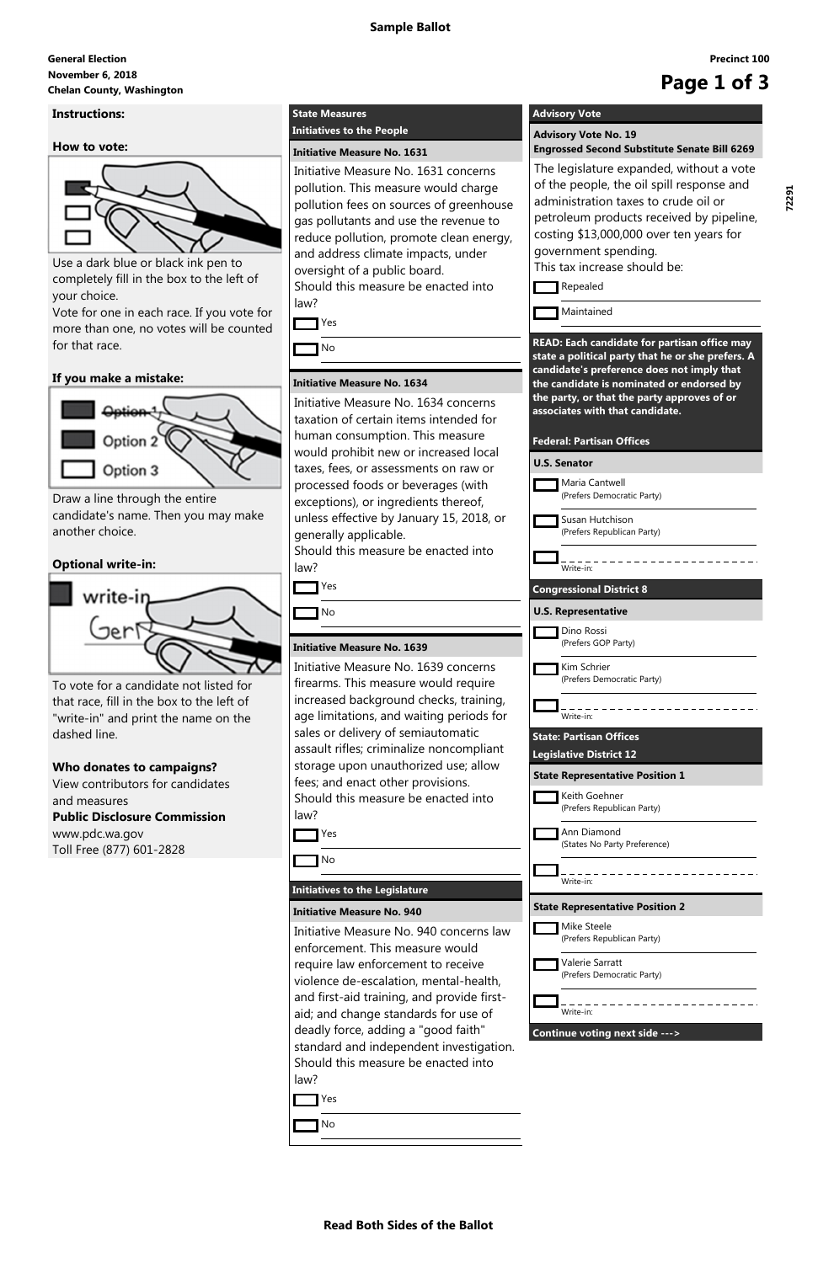#### **November 6, 2018 General Election** November 6, 2018<br>Chelan County, Washington<br> **Chelan County, Washington**

#### **Read Both Sides of the Ballot**

**Precinct 100**

#### **Instructions:**

**How to vote:**



Use a dark blue or black ink pen to completely fill in the box to the left of your choice.

Vote for one in each race. If you vote for more than one, no votes will be counted for that race.

#### **If you make a mistake:**



Draw a line through the entire candidate's name. Then you may make another choice.

### **Optional write-in:**



To vote for a candidate not listed for that race, fill in the box to the left of "write-in" and print the name on the dashed line.

**Who donates to campaigns?**

View contributors for candidates and measures **Public Disclosure Commission** www.pdc.wa.gov

Toll Free (877) 601-2828

### **State Measures**

#### **Initiatives to the People**

#### **Initiative Measure No. 1631**

Initiative Measure No. 1631 concerns pollution. This measure would charge pollution fees on sources of greenhouse gas pollutants and use the revenue to reduce pollution, promote clean energy, and address climate impacts, under oversight of a public board. Should this measure be enacted into

law?

Yes

**T** No

#### **Initiative Measure No. 1634**

Initiative Measure No. 1634 concerns taxation of certain items intended for human consumption. This measure would prohibit new or increased local taxes, fees, or assessments on raw or processed foods or beverages (with exceptions), or ingredients thereof, unless effective by January 15, 2018, or generally applicable.

Should this measure be enacted into law?

Yes

**T** No

# **Initiative Measure No. 1639**

Initiative Measure No. 1639 concerns firearms. This measure would require increased background checks, training, age limitations, and waiting periods for sales or delivery of semiautomatic assault rifles; criminalize noncompliant storage upon unauthorized use; allow fees; and enact other provisions. Should this measure be enacted into law?

Yes

No

#### **Initiatives to the Legislature**

**Initiative Measure No. 940**

Initiative Measure No. 940 concerns law enforcement. This measure would require law enforcement to receive violence de-escalation, mental-health, and first-aid training, and provide firstaid; and change standards for use of deadly force, adding a "good faith" standard and independent investigation. Should this measure be enacted into law?

Yes

No

## **Advisory Vote**

**Advisory Vote No. 19 Engrossed Second Substitute Senate Bill 6269**

The legislature expanded, without a vote of the people, the oil spill response and administration taxes to crude oil or petroleum products received by pipeline, costing \$13,000,000 over ten years for government spending.

This tax increase should be:

Repealed

Maintained

**READ: Each candidate for partisan office may state a political party that he or she prefers. A candidate's preference does not imply that the candidate is nominated or endorsed by the party, or that the party approves of or associates with that candidate.**

#### **Federal: Partisan Offices**

| <b>U.S. Senator</b>   |                                                                  |
|-----------------------|------------------------------------------------------------------|
|                       | Maria Cantwell<br>(Prefers Democratic Party)                     |
|                       | Susan Hutchison<br>(Prefers Republican Party)                    |
| Write-in:             |                                                                  |
|                       | <b>Congressional District 8</b>                                  |
|                       | <b>U.S. Representative</b>                                       |
|                       | Dino Rossi<br>(Prefers GOP Party)                                |
|                       | Kim Schrier<br>(Prefers Democratic Party)                        |
| Write-in <sup>.</sup> |                                                                  |
|                       | <b>State: Partisan Offices</b><br><b>Legislative District 12</b> |
|                       | <b>State Representative Position 1</b>                           |
|                       | Keith Goehner<br>(Prefers Republican Party)                      |
|                       | Ann Diamond<br>(States No Party Preference)                      |
| Write-in:             |                                                                  |
|                       | <b>State Representative Position 2</b>                           |

|                                | Mike Steele<br>(Prefers Republican Party)     |  |
|--------------------------------|-----------------------------------------------|--|
|                                | Valerie Sarratt<br>(Prefers Democratic Party) |  |
|                                | Write-in:                                     |  |
| Continue voting next side ---> |                                               |  |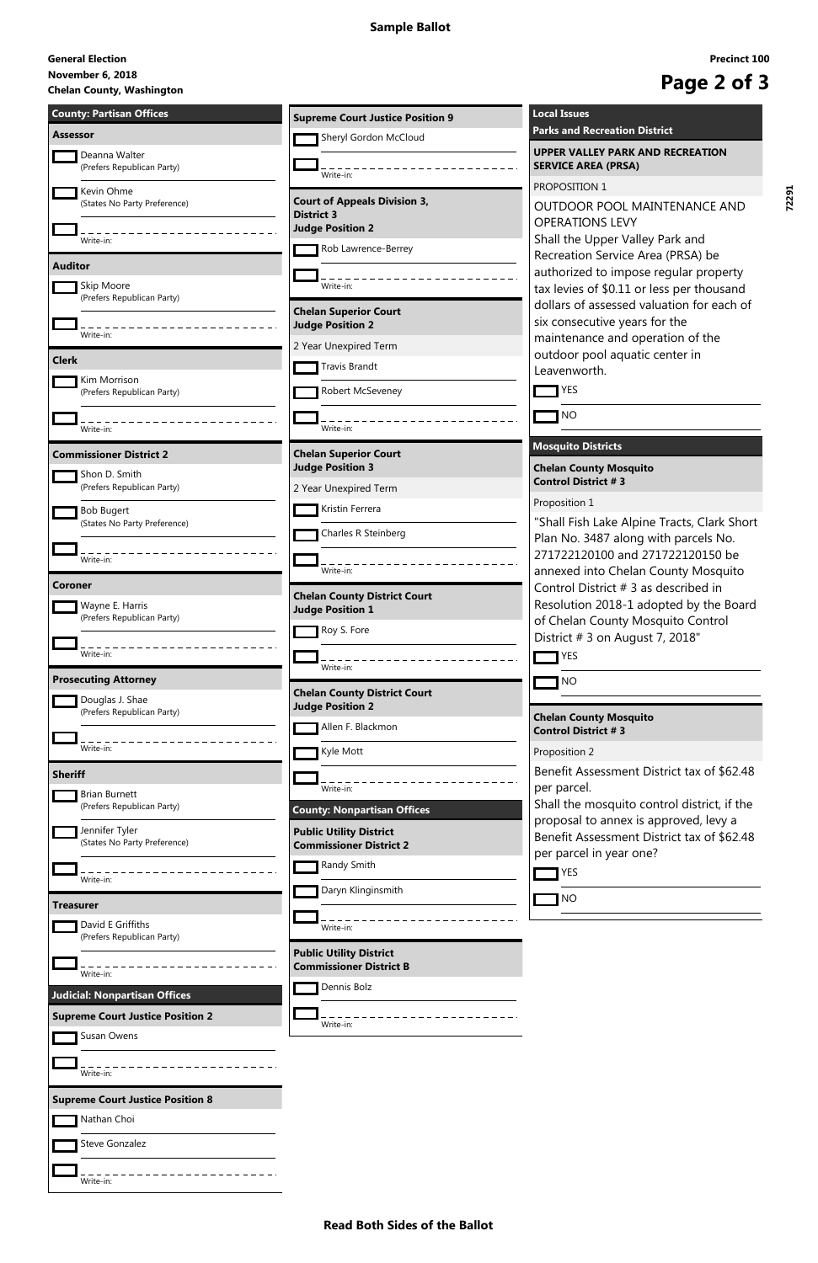#### **Read Both Sides of the Ballot**

#### **November 6, 2018**

# November 6, 2018<br>Chelan County, Washington<br> **Chelan County, Washington**

#### **General Election**

| <b>County: Partisan Offices</b>                   | <b>Supreme Court Justice Position 9</b>                          | <b>Local Issues</b>                                                                    |
|---------------------------------------------------|------------------------------------------------------------------|----------------------------------------------------------------------------------------|
| <b>Assessor</b>                                   | Sheryl Gordon McCloud                                            | <b>Parks and Recreation District</b>                                                   |
| Deanna Walter<br>(Prefers Republican Party)       | Write-in:                                                        | <b>UPPER VALLEY PARK AND RECREATION</b><br><b>SERVICE AREA (PRSA)</b>                  |
| Kevin Ohme<br>(States No Party Preference)        | <b>Court of Appeals Division 3,</b>                              | PROPOSITION 1<br>OUTDOOR POOL MAINTENANCE AND                                          |
| Write-in:                                         | <b>District 3</b><br><b>Judge Position 2</b>                     | <b>OPERATIONS LEVY</b><br>Shall the Upper Valley Park and                              |
|                                                   | Rob Lawrence-Berrey                                              | Recreation Service Area (PRSA) be                                                      |
| <b>Auditor</b>                                    |                                                                  | authorized to impose regular property                                                  |
| Skip Moore<br>(Prefers Republican Party)          | Write-in:<br><b>Chelan Superior Court</b>                        | tax levies of \$0.11 or less per thousand<br>dollars of assessed valuation for each of |
| Write-in:                                         | <b>Judge Position 2</b>                                          | six consecutive years for the                                                          |
|                                                   | 2 Year Unexpired Term                                            | maintenance and operation of the<br>outdoor pool aquatic center in                     |
| <b>Clerk</b>                                      | <b>Travis Brandt</b>                                             | Leavenworth.                                                                           |
| Kim Morrison<br>(Prefers Republican Party)        | Robert McSeveney                                                 | $\mathsf{T}$ YES                                                                       |
| Write-in:                                         | Write-in:                                                        | <b>NO</b>                                                                              |
| <b>Commissioner District 2</b>                    | <b>Chelan Superior Court</b>                                     | <b>Mosquito Districts</b>                                                              |
| Shon D. Smith                                     | <b>Judge Position 3</b>                                          | <b>Chelan County Mosquito</b><br><b>Control District #3</b>                            |
| (Prefers Republican Party)                        | 2 Year Unexpired Term                                            | Proposition 1                                                                          |
| <b>Bob Bugert</b><br>(States No Party Preference) | Kristin Ferrera<br>Charles R Steinberg                           | "Shall Fish Lake Alpine Tracts, Clark Short                                            |
| write-in:                                         |                                                                  | Plan No. 3487 along with parcels No.<br>271722120100 and 271722120150 be               |
|                                                   | Write-in:                                                        | annexed into Chelan County Mosquito                                                    |
| <b>Coroner</b><br>Wayne E. Harris                 | <b>Chelan County District Court</b>                              | Control District # 3 as described in<br>Resolution 2018-1 adopted by the Board         |
| (Prefers Republican Party)                        | <b>Judge Position 1</b><br>Roy S. Fore                           | of Chelan County Mosquito Control                                                      |
| Write-in:                                         |                                                                  | District # 3 on August 7, 2018"<br>YES                                                 |
| <b>Prosecuting Attorney</b>                       | Write-in:                                                        | <b>NO</b>                                                                              |
| Douglas J. Shae<br>(Prefers Republican Party)     | <b>Chelan County District Court</b><br><b>Judge Position 2</b>   |                                                                                        |
|                                                   | Allen F. Blackmon                                                | <b>Chelan County Mosquito</b><br><b>Control District #3</b>                            |
| Write-in:                                         | Kyle Mott                                                        | Proposition 2<br>Benefit Assessment District tax of \$62.48                            |
| <b>Sheriff</b><br><b>Brian Burnett</b>            | Write-in:                                                        | per parcel.                                                                            |
| (Prefers Republican Party)                        | <b>County: Nonpartisan Offices</b>                               | Shall the mosquito control district, if the<br>proposal to annex is approved, levy a   |
| Jennifer Tyler<br>(States No Party Preference)    | <b>Public Utility District</b><br><b>Commissioner District 2</b> | Benefit Assessment District tax of \$62.48                                             |
|                                                   | Randy Smith                                                      | per parcel in year one?<br>$\mathsf{T}$ YES                                            |
| Write-in:                                         | Daryn Klinginsmith                                               | <b>NO</b>                                                                              |
| <b>Treasurer</b><br>David E Griffiths             | Write-in:                                                        |                                                                                        |
| (Prefers Republican Party)                        | <b>Public Utility District</b>                                   |                                                                                        |
| Write-in:                                         | <b>Commissioner District B</b><br>Dennis Bolz                    |                                                                                        |
| <b>Judicial: Nonpartisan Offices</b>              |                                                                  |                                                                                        |
| <b>Supreme Court Justice Position 2</b>           | write-in:                                                        |                                                                                        |
| Susan Owens                                       |                                                                  |                                                                                        |
| Write-in:                                         |                                                                  |                                                                                        |
| <b>Supreme Court Justice Position 8</b>           |                                                                  |                                                                                        |
| Nathan Choi                                       |                                                                  |                                                                                        |
| Steve Gonzalez                                    |                                                                  |                                                                                        |
| Write-in:                                         |                                                                  |                                                                                        |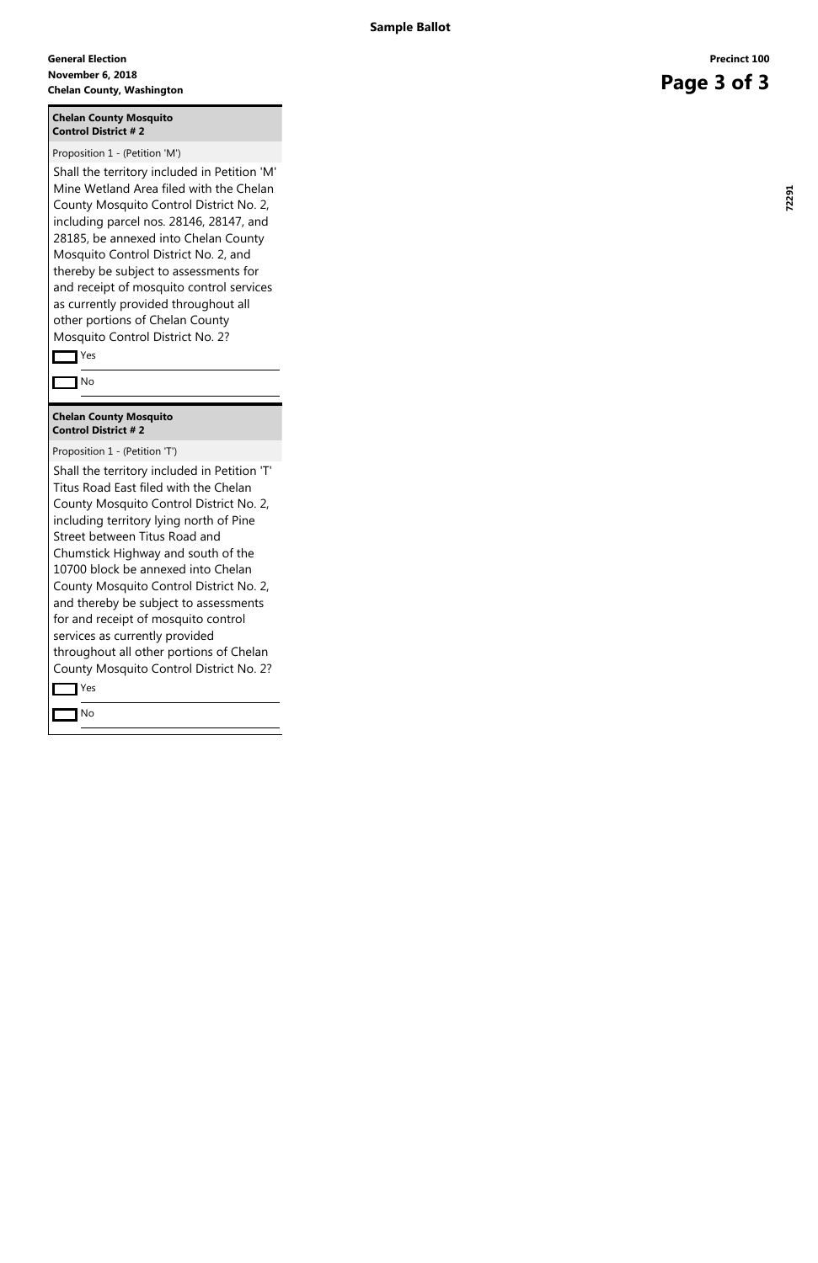#### **November 6, 2018 General Election Chelan County, Washington**<br> **Chelan County, Washington**

#### **Chelan County Mosquito Control District # 2**

Proposition 1 - (Petition 'M')

Shall the territory included in Petition 'T' Titus Road East filed with the Chelan County Mosquito Control District No. 2, including territory lying north of Pine Street between Titus Road and Chumstick Highway and south of the 10700 block be annexed into Chelan County Mosquito Control District No. 2, and thereby be subject to assessments for and receipt of mosquito control services as currently provided throughout all other portions of Chelan County Mosquito Control District No. 2? **The Yes** 

Shall the territory included in Petition 'M' Mine Wetland Area filed with the Chelan County Mosquito Control District No. 2, including parcel nos. 28146, 28147, and 28185, be annexed into Chelan County Mosquito Control District No. 2, and thereby be subject to assessments for and receipt of mosquito control services as currently provided throughout all other portions of Chelan County Mosquito Control District No. 2?

Yes

No

#### **Chelan County Mosquito Control District # 2**

Proposition 1 - (Petition 'T')